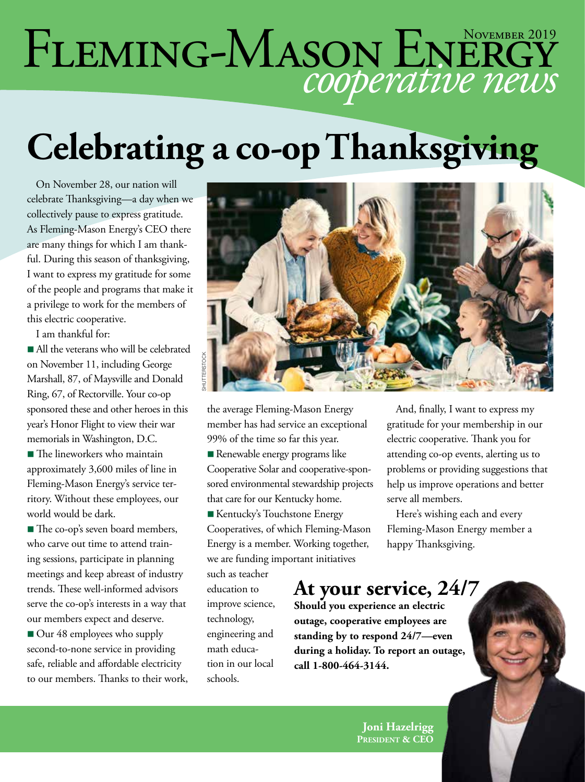# FLEMING-MASON ENERGY

# **Celebrating a co-op Thanksgiving**

On November 28, our nation will celebrate Thanksgiving—a day when we collectively pause to express gratitude. As Fleming-Mason Energy's CEO there are many things for which I am thankful. During this season of thanksgiving, I want to express my gratitude for some of the people and programs that make it a privilege to work for the members of this electric cooperative.

I am thankful for:

n All the veterans who will be celebrated on November 11, including George Marshall, 87, of Maysville and Donald Ring, 67, of Rectorville. Your co-op sponsored these and other heroes in this year's Honor Flight to view their war memorials in Washington, D.C.

■ The lineworkers who maintain approximately 3,600 miles of line in Fleming-Mason Energy's service territory. Without these employees, our world would be dark.

■ The co-op's seven board members, who carve out time to attend training sessions, participate in planning meetings and keep abreast of industry trends. These well-informed advisors serve the co-op's interests in a way that our members expect and deserve.

■ Our 48 employees who supply second-to-none service in providing safe, reliable and affordable electricity to our members. Thanks to their work,



the average Fleming-Mason Energy member has had service an exceptional 99% of the time so far this year. **n** Renewable energy programs like Cooperative Solar and cooperative-spon-

sored environmental stewardship projects that care for our Kentucky home. **Kentucky's Touchstone Energy** 

Cooperatives, of which Fleming-Mason Energy is a member. Working together, we are funding important initiatives

such as teacher education to improve science, technology, engineering and math education in our local schools.

And, finally, I want to express my gratitude for your membership in our electric cooperative. Thank you for attending co-op events, alerting us to problems or providing suggestions that help us improve operations and better serve all members.

Here's wishing each and every Fleming-Mason Energy member a happy Thanksgiving.

### **At your service, 24/7**

**Should you experience an electric outage, cooperative employees are standing by to respond 24/7—even during a holiday. To report an outage, call 1-800-464-3144.**

> **Joni Hazelrigg President & CEO**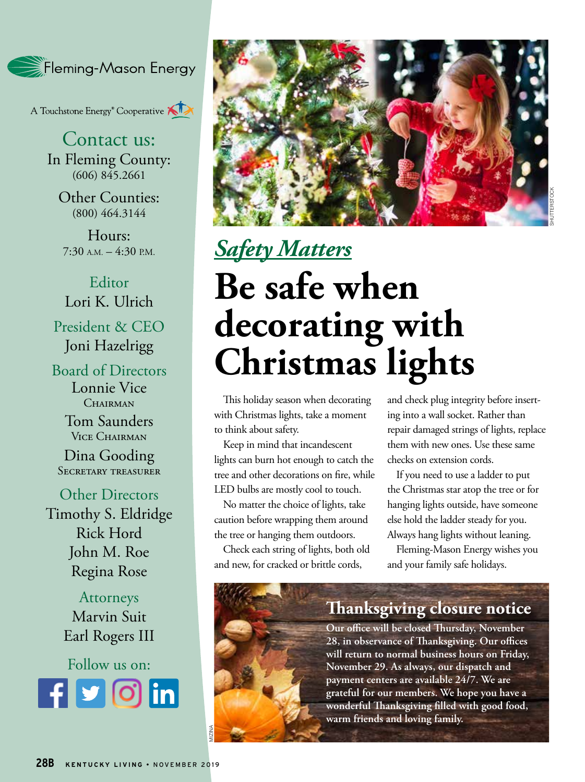

A Touchstone Energy<sup>®</sup> Cooperative A

Contact us: In Fleming County:  $(606)$   $845.2661$ 

Other Counties: (800) 464.3144

Hours:  $7:30$  A.M.  $-4:30$  P.M.

Editor Lori K. Ulrich President & CEO Joni Hazelrigg

Board of Directors Lonnie Vice CHAIRMAN

> Tom Saunders Vice Chairman

Dina Gooding Secretary treasurer

Other Directors Timothy S. Eldridge Rick Hord John M. Roe Regina Rose

> Attorneys Marvin Suit Earl Rogers III

Follow us on: **Rounded square** Only use blue and/or white. For more details check out our Brand Guidelines.



## *Safety Matters* **Be safe when decorating with Christmas lights**

This holiday season when decorating with Christmas lights, take a moment to think about safety.

Keep in mind that incandescent lights can burn hot enough to catch the tree and other decorations on fire, while LED bulbs are mostly cool to touch.

No matter the choice of lights, take caution before wrapping them around the tree or hanging them outdoors.

Check each string of lights, both old and new, for cracked or brittle cords,

and check plug integrity before inserting into a wall socket. Rather than repair damaged strings of lights, replace them with new ones. Use these same checks on extension cords.

If you need to use a ladder to put the Christmas star atop the tree or for hanging lights outside, have someone else hold the ladder steady for you. Always hang lights without leaning.

Fleming-Mason Energy wishes you and your family safe holidays.

#### **Thanksgiving closure notice**

**Our office will be closed Thursday, November 28, in observance of Thanksgiving. Our offices will return to normal business hours on Friday, November 29. As always, our dispatch and payment centers are available 24/7. We are grateful for our members. We hope you have a wonderful Thanksgiving filled with good food, warm friends and loving family.** 

MIZINA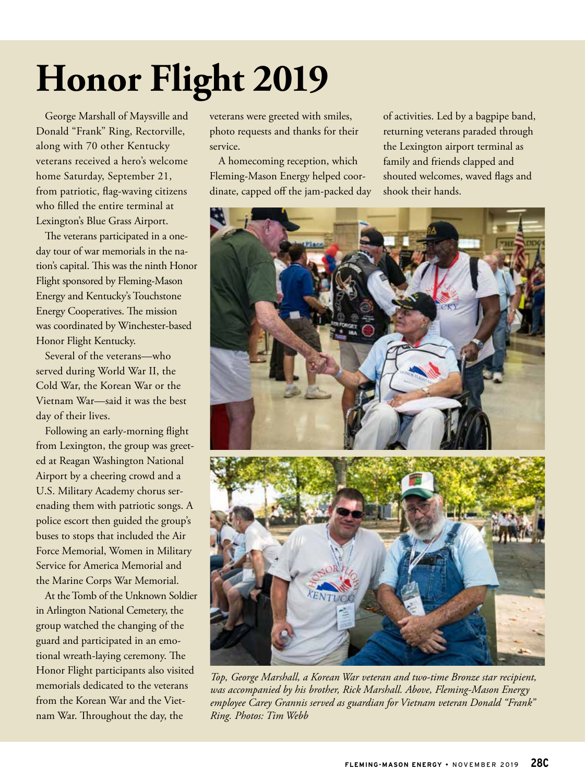# **Honor Flight 2019**

George Marshall of Maysville and Donald "Frank" Ring, Rectorville, along with 70 other Kentucky veterans received a hero's welcome home Saturday, September 21, from patriotic, flag-waving citizens who filled the entire terminal at Lexington's Blue Grass Airport.

The veterans participated in a oneday tour of war memorials in the nation's capital. This was the ninth Honor Flight sponsored by Fleming-Mason Energy and Kentucky's Touchstone Energy Cooperatives. The mission was coordinated by Winchester-based Honor Flight Kentucky.

Several of the veterans—who served during World War II, the Cold War, the Korean War or the Vietnam War—said it was the best day of their lives.

Following an early-morning flight from Lexington, the group was greeted at Reagan Washington National Airport by a cheering crowd and a U.S. Military Academy chorus serenading them with patriotic songs. A police escort then guided the group's buses to stops that included the Air Force Memorial, Women in Military Service for America Memorial and the Marine Corps War Memorial.

At the Tomb of the Unknown Soldier in Arlington National Cemetery, the group watched the changing of the guard and participated in an emotional wreath-laying ceremony. The Honor Flight participants also visited memorials dedicated to the veterans from the Korean War and the Vietnam War. Throughout the day, the

veterans were greeted with smiles, photo requests and thanks for their service.

A homecoming reception, which Fleming-Mason Energy helped coordinate, capped off the jam-packed day

of activities. Led by a bagpipe band, returning veterans paraded through the Lexington airport terminal as family and friends clapped and shouted welcomes, waved flags and shook their hands.



*Top, George Marshall, a Korean War veteran and two-time Bronze star recipient, was accompanied by his brother, Rick Marshall. Above, Fleming-Mason Energy employee Carey Grannis served as guardian for Vietnam veteran Donald "Frank" Ring. Photos: Tim Webb*